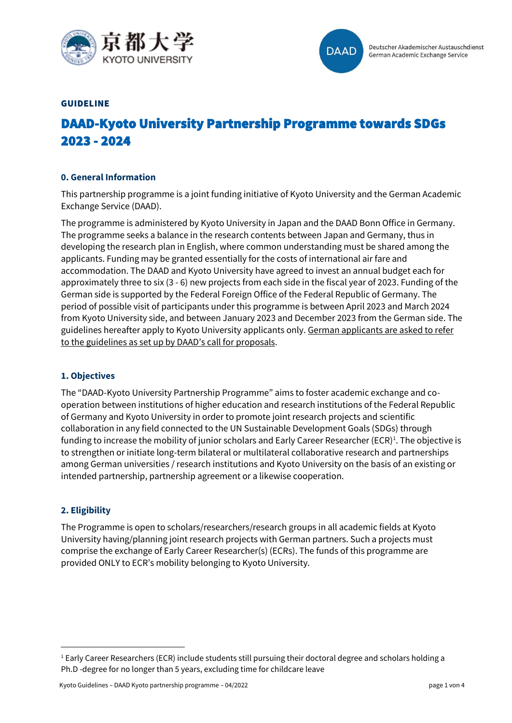



#### GUIDELINE

# DAAD-Kyoto University Partnership Programme towards SDGs 2023 - 2024

### **0. General Information**

This partnership programme is a joint funding initiative of Kyoto University and the German Academic Exchange Service (DAAD).

The programme is administered by Kyoto University in Japan and the DAAD Bonn Office in Germany. The programme seeks a balance in the research contents between Japan and Germany, thus in developing the research plan in English, where common understanding must be shared among the applicants. Funding may be granted essentially for the costs of international air fare and accommodation. The DAAD and Kyoto University have agreed to invest an annual budget each for approximately three to six (3 - 6) new projects from each side in the fiscal year of 2023. Funding of the German side is supported by the Federal Foreign Office of the Federal Republic of Germany. The period of possible visit of participants under this programme is between April 2023 and March 2024 from Kyoto University side, and between January 2023 and December 2023 from the German side. The guidelines hereafter apply to Kyoto University applicants only. German applicants are asked to refer to the guidelines as set up by DAAD's call for proposals.

#### **1. Objectives**

The "DAAD-Kyoto University Partnership Programme" aims to foster academic exchange and cooperation between institutions of higher education and research institutions of the Federal Republic of Germany and Kyoto University in order to promote joint research projects and scientific collaboration in any field connected to the UN Sustainable Development Goals (SDGs) through funding to increase the mobility of junior scholars and Early Career Researcher (ECR)<sup>1</sup>. The objective is to strengthen or initiate long-term bilateral or multilateral collaborative research and partnerships among German universities / research institutions and Kyoto University on the basis of an existing or intended partnership, partnership agreement or a likewise cooperation.

#### **2. Eligibility**

The Programme is open to scholars/researchers/research groups in all academic fields at Kyoto University having/planning joint research projects with German partners. Such a projects must comprise the exchange of Early Career Researcher(s) (ECRs). The funds of this programme are provided ONLY to ECR's mobility belonging to Kyoto University.

<sup>&</sup>lt;sup>1</sup> Early Career Researchers (ECR) include students still pursuing their doctoral degree and scholars holding a Ph.D -degree for no longer than 5 years, excluding time for childcare leave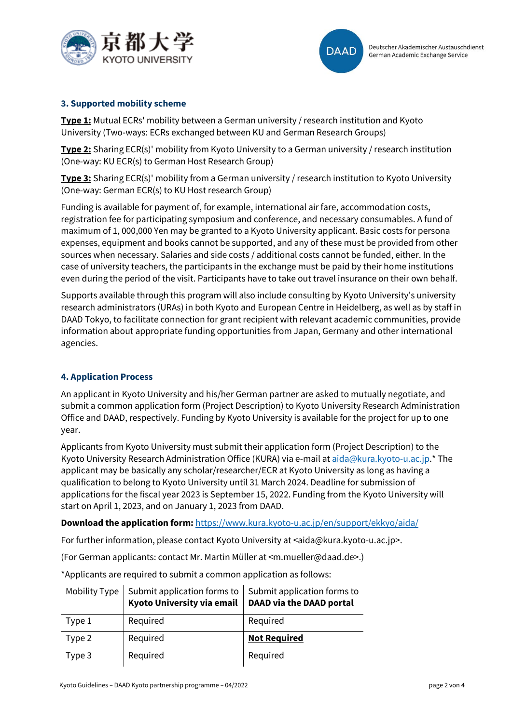



## **3. Supported mobility scheme**

**Type 1:** Mutual ECRs' mobility between a German university / research institution and Kyoto University (Two-ways: ECRs exchanged between KU and German Research Groups)

**Type 2:** Sharing ECR(s)' mobility from Kyoto University to a German university / research institution (One-way: KU ECR(s) to German Host Research Group)

**Type 3:** Sharing ECR(s)' mobility from a German university / research institution to Kyoto University (One-way: German ECR(s) to KU Host research Group)

Funding is available for payment of, for example, international air fare, accommodation costs, registration fee for participating symposium and conference, and necessary consumables. A fund of maximum of 1, 000,000 Yen may be granted to a Kyoto University applicant. Basic costs for persona expenses, equipment and books cannot be supported, and any of these must be provided from other sources when necessary. Salaries and side costs / additional costs cannot be funded, either. In the case of university teachers, the participants in the exchange must be paid by their home institutions even during the period of the visit. Participants have to take out travel insurance on their own behalf.

Supports available through this program will also include consulting by Kyoto University's university research administrators (URAs) in both Kyoto and European Centre in Heidelberg, as well as by staff in DAAD Tokyo, to facilitate connection for grant recipient with relevant academic communities, provide information about appropriate funding opportunities from Japan, Germany and other international agencies.

## **4. Application Process**

An applicant in Kyoto University and his/her German partner are asked to mutually negotiate, and submit a common application form (Project Description) to Kyoto University Research Administration Office and DAAD, respectively. Funding by Kyoto University is available for the project for up to one year.

Applicants from Kyoto University must submit their application form (Project Description) to the Kyoto University Research Administration Office (KURA) via e-mail a[t aida@kura.kyoto-u.ac.jp.](mailto:aida@kura.kyoto-u.ac.jp)\* The applicant may be basically any scholar/researcher/ECR at Kyoto University as long as having a qualification to belong to Kyoto University until 31 March 2024. Deadline for submission of applications for the fiscal year 2023 is September 15, 2022. Funding from the Kyoto University will start on April 1, 2023, and on January 1, 2023 from DAAD.

**Download the application form:** <https://www.kura.kyoto-u.ac.jp/en/support/ekkyo/aida/>

For further information, please contact Kyoto University at <aida@kura.kyoto-u.ac.jp>.

(For German applicants: contact Mr. Martin Müller at <m.mueller@daad.de>.)

\*Applicants are required to submit a common application as follows:

| Mobility Type | Submit application forms to $ $ Submit application forms to<br>Kyoto University via email | <b>DAAD via the DAAD portal</b> |
|---------------|-------------------------------------------------------------------------------------------|---------------------------------|
| Type 1        | Required                                                                                  | Required                        |
| Type 2        | Required                                                                                  | <b>Not Required</b>             |
| Type 3        | Required                                                                                  | Required                        |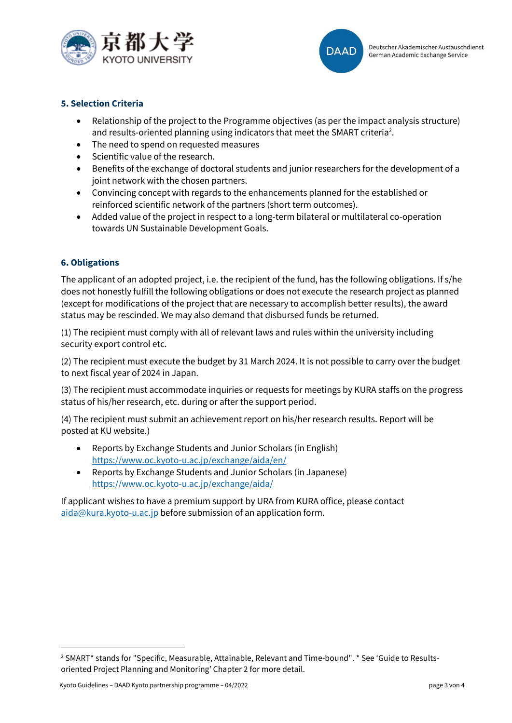



# **5. Selection Criteria**

- Relationship of the project to the Programme objectives (as per the impact analysis structure) and results-oriented planning using indicators that meet the SMART criteria<sup>2</sup>.
- The need to spend on requested measures
- Scientific value of the research.
- Benefits of the exchange of doctoral students and junior researchers for the development of a joint network with the chosen partners.
- Convincing concept with regards to the enhancements planned for the established or reinforced scientific network of the partners (short term outcomes).
- Added value of the project in respect to a long-term bilateral or multilateral co-operation towards UN Sustainable Development Goals.

## **6. Obligations**

The applicant of an adopted project, i.e. the recipient of the fund, has the following obligations. If s/he does not honestly fulfill the following obligations or does not execute the research project as planned (except for modifications of the project that are necessary to accomplish better results), the award status may be rescinded. We may also demand that disbursed funds be returned.

(1) The recipient must comply with all of relevant laws and rules within the university including security export control etc.

(2) The recipient must execute the budget by 31 March 2024. It is not possible to carry over the budget to next fiscal year of 2024 in Japan.

(3) The recipient must accommodate inquiries or requests for meetings by KURA staffs on the progress status of his/her research, etc. during or after the support period.

(4) The recipient must submit an achievement report on his/her research results. Report will be posted at KU website.)

- Reports by Exchange Students and Junior Scholars (in English) <https://www.oc.kyoto-u.ac.jp/exchange/aida/en/>
- Reports by Exchange Students and Junior Scholars (in Japanese) <https://www.oc.kyoto-u.ac.jp/exchange/aida/>

If applicant wishes to have a premium support by URA from KURA office, please contact [aida@kura.kyoto-u.ac.jp](mailto:aida@kura.kyoto-u.ac.jp) before submission of an application form.

<sup>2</sup> SMART\* stands for "Specific, Measurable, Attainable, Relevant and Time-bound". \* See 'Guide to Resultsoriented Project Planning and Monitoring' Chapter 2 for more detail.